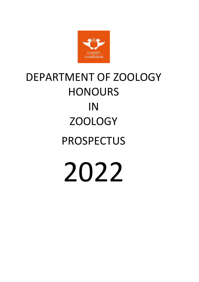

# DEPARTMENT OF ZOOLOGY HONOURS IN ZOOLOGY PROSPECTUS 2022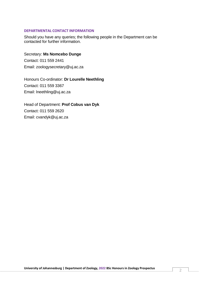#### **DEPARTMENTAL CONTACT INFORMATION**

Should you have any queries; the following people in the Department can be contacted for further information.

Secretary: **Ms Nomcebo Dunge** Contact: 011 559 2441 Email: [zoologysecretary@uj.ac.za](mailto:zoologysecretary@uj.ac.za)

Honours Co-ordinator: **Dr Lourelle Neethling** Contact: 011 559 3367 Email: [lneethling@uj.ac.za](mailto:lneethling@uj.ac.za)

Head of Department: **Prof Cobus van Dyk** Contact: 011 559 2620 Email: cvandyk@uj.ac.za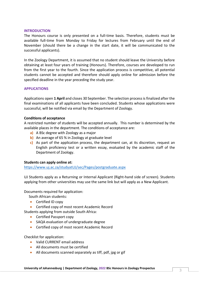#### **INTRODUCTION**

The Honours course is only presented on a full-time basis. Therefore, students must be available full-time from Monday to Friday for lectures from February until the end of November (should there be a change in the start date, it will be communicated to the successful applicants).

In the Zoology Department, it is assumed that no student should leave the University before obtaining at least four years of training (Honours). Therefore, courses are developed to run from the first year to the fourth. Since the application process is competitive, all potential students cannot be accepted and therefore should apply online for admission before the specified deadline in the year preceding the study year.

#### **APPLICATIONS**

Applications open **1 April** and closes 30 September. The selection process is finalized after the final examinations of all applicants have been concluded. Students whose applications were successful, will be notified via email by the Department of Zoology.

#### **Conditions of acceptance**

A restricted number of students will be accepted annually. This number is determined by the available places in the department. The conditions of acceptance are:

- **a)** A BSc degree with Zoology as a major
- **b)** An average of 65 % in Zoology at graduate level
- **c)** As part of the application process, the department can, at its discretion, request an English proficiency test or a written essay, evaluated by the academic staff of the Department of Zoology.

#### **Students can apply online at:**

<https://www.uj.ac.za/studyatUJ/sec/Pages/postgraduate.aspx>

UJ Students apply as a Returning or Internal Applicant (Right-hand side of screen). Students applying from other universities may use the same link but will apply as a New Applicant.

Documents required for application:

South African students:

- Certified ID copy
- Certified copy of most recent Academic Record

Students applying from outside South Africa:

- Certified Passport copy
- SAQA evaluation of undergraduate degree
- Certified copy of most recent Academic Record

Checklist for application:

- Valid CURRENT email address
- All documents must be certified
- All documents scanned separately as tiff, pdf, jpg or gif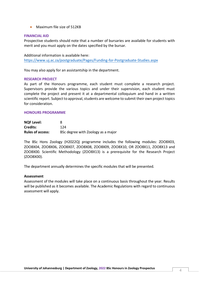• Maximum file size of 512KB

#### **FINANCIAL AID**

Prospective students should note that a number of bursaries are available for students with merit and you must apply on the dates specified by the bursar.

Additional information is available here: <https://www.uj.ac.za/postgraduate/Pages/Funding-for-Postgraduate-Studies.aspx>

You may also apply for an assistantship in the department.

#### **RESEARCH PROJECT**

As part of the Honours programme, each student must complete a research project. Supervisors provide the various topics and under their supervision, each student must complete the project and present it at a departmental colloquium and hand in a written scientific report. Subject to approval, students are welcome to submit their own project topics for consideration.

#### **HONOURS PROGRAMME**

| <b>NQF Level:</b>       | 8                                  |
|-------------------------|------------------------------------|
| <b>Credits:</b>         | 124                                |
| <b>Rules of access:</b> | BSc degree with Zoology as a major |

The BSc Hons Zoology (H2022Q) programme includes the following modules: ZOO8X03, ZOO8X04, ZOO8X06, ZOO8X07, ZOO8X08, ZOO8X09, ZOO8X10, OR ZOO8X11, ZOO8X13 and ZOO8X00. Scientific Methodology (ZOO8X13) is a prerequisite for the Research Project (ZOO8X00).

The department annually determines the specific modules that will be presented.

#### **Assessment**

Assessment of the modules will take place on a continuous basis throughout the year. Results will be published as it becomes available. The Academic Regulations with regard to continuous assessment will apply.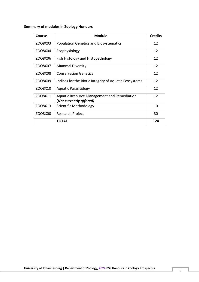# **Summary of modules in Zoology Honours**

| <b>Course</b> | <b>Module</b>                                                          | <b>Credits</b> |
|---------------|------------------------------------------------------------------------|----------------|
| ZO08X03       | <b>Population Genetics and Biosystematics</b>                          | 12             |
| ZO08X04       | Ecophysiology                                                          | 12             |
| ZOO8X06       | Fish Histology and Histopathology                                      | 12             |
| ZO08X07       | <b>Mammal Diversity</b>                                                | 12             |
| ZO08X08       | <b>Conservation Genetics</b>                                           | 12             |
| ZOO8X09       | Indices for the Biotic Integrity of Aquatic Ecosystems                 | 12             |
| ZO08X10       | <b>Aquatic Parasitology</b>                                            | 12             |
| ZO08X11       | Aquatic Resource Management and Remediation<br>(Not currently offered) | 12             |
| ZO08X13       | Scientific Methodology                                                 | 10             |
| ZO08X00       | Research Project                                                       | 30             |
|               | TOTAL                                                                  | 124            |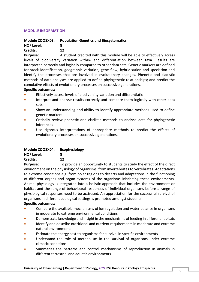# **MODULE INFORMATION**

# **Module ZOO8X03: Population Genetics and Biosystematics**

# **NQF Level: 8**

# **Credits: 12**

**Purpose:** A student credited with this module will be able to effectively access levels of biodiversity variation within- and differentiation between taxa. Results are interpreted correctly and logically compared to other data sets. Genetic markers are defined for stock identification, geographic variation, gene flow, hybridisation and speciation and identify the processes that are involved in evolutionary changes. Phenetic and cladistic methods of data analyses are applied to define phylogenetic relationships; and predict the cumulative effects of evolutionary processes on successive generations.

# **Specific outcomes:**

- Effectively access levels of biodiversity variation and differentiation
- Interpret and analyse results correctly and compare them logically with other data sets
- Show an understanding and ability to identify appropriate methods used to define genetic markers
- Critically review phenetic and cladistic methods to analyse data for phylogenetic inferences
- Use rigorous interpretations of appropriate methods to predict the effects of evolutionary processes on successive generations.

| Module ZOO8X04:   | <b>Ecophysiology</b> |
|-------------------|----------------------|
| <b>NQF Level:</b> | я                    |
| Credits:          | 12                   |
| <b>Purpose:</b>   | To provide an c      |

**Purpose:** To provide an opportunity to students to study the effect of the direct environment on the physiology of organisms, from invertebrates to vertebrates. Adaptations to extreme conditions e.g. from polar regions to deserts and adaptations in the functioning of different organs and organ systems of the organisms inhabiting these environments. Animal physiology is integrated into a holistic approach that includes the environment or habitat and the range of behavioural responses of individual organisms before a range of physiological responses need to be activated. An appreciation for the successful survival of organisms in different ecological settings is promoted amongst students.

# **Specific outcomes:**

- Compare the available mechanisms of ion regulation and water balance in organisms in moderate to extreme environmental conditions
- Demonstrate knowledge and insight in the mechanisms of feeding in different habitats
- Identify and describe nutritional and nutrient requirements in moderate and extreme natural environments
- Estimate the energy cost to organisms for survival in specific environments
- Understand the role of metabolism in the survival of organisms under extreme climatic conditions
- Summaries the patterns and control mechanisms of reproduction in animals in different terrestrial and aquatic environments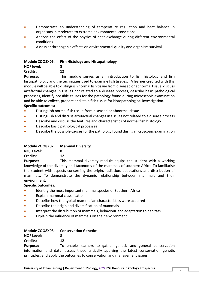- Demonstrate an understanding of temperature regulation and heat balance in organisms in moderate to extreme environmental conditions
- Analyse the effect of the physics of heat exchange during different environmental conditions
- Assess anthropogenic effects on environmental quality and organism survival.

#### **Module ZOO8X06: Fish Histology and Histopathology NQF level: 8 Credits: 12**

**Purpose:** This module serves as an introduction to fish histology and fish histopathology and the techniques used to examine fish tissues. A learner credited with this module will be able to distinguish normal fish tissue from diseased or abnormal tissue, discuss artefactual changes in tissues not related to a disease process, describe basic pathological processes, identify possible causes for the pathology found during microscopic examination and be able to collect, prepare and stain fish tissue for histopathological investigation.

# **Specific outcomes:**

- Distinguish normal fish tissue from diseased or abnormal tissue
- Distinguish and discuss artefactual changes in tissues not related to a disease process
- Describe and discuss the features and characteristics of normal fish histology
- Describe basic pathological processes
- Describe the possible causes for the pathology found during microscopic examination

| Module ZOO8X07: Mammal Diversity |    |
|----------------------------------|----|
| <b>NQF Level:</b>                | 8  |
| <b>Credits:</b>                  | 12 |

**Purpose:** This mammal diversity module equips the student with a working knowledge of the diversity and taxonomy of the mammals of southern Africa. To familiarise the student with aspects concerning the origin, radiation, adaptations and distribution of mammals. To demonstrate the dynamic relationship between mammals and their environment.

#### **Specific outcomes:**

- Identify the most important mammal species of Southern Africa
- Explain mammal classification
- Describe how the typical mammalian characteristics were acquired
- Describe the origin and diversification of mammals
- Interpret the distribution of mammals, behaviour and adaptation to habitats
- Explain the influence of mammals on their environment

# **Module ZOO8X08: Conservation Genetics**

**NQF Level: 8 Credits: 12**

**Purpose:** To enable learners to gather genetic and general conservation information and data, assess these critically applying the latest conservation genetic principles, and apply the outcomes to conservation and management issues.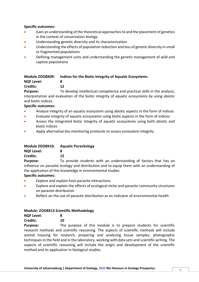## **Specific outcomes:**

- Gain an understanding of the theoretical approaches to and the placement of genetics in the context of conservation biology
- Understanding genetic diversity and its characterization
- Understanding the effects of population reduction and loss of genetic diversity in small or fragmented populations
- Defining management units and understanding the genetic management of wild and captive populations

# **Module ZOO8X09: Indices for the Biotic Integrity of Aquatic Ecosystems NQF Level: 8 Credits: 12**

**Purpose:** To develop intellectual competence and practical skills in the analysis, interpretation and evaluation of the biotic integrity of aquatic ecosystems by using abiotic and biotic indices.

# **Specific outcomes:**

- Analyse integrity of an aquatic ecosystem using abiotic aspects in the form of indices
- Evaluate integrity of aquatic ecosystems using biotic aspects in the form of indices
- Assess the integrated biotic integrity of aquatic ecosystems using both abiotic and biotic indices
- Apply alternative bio-monitoring protocols to assess ecosystem integrity

| Module ZOO8X10: | <b>Aquatic Parasitology</b> |
|-----------------|-----------------------------|
|                 |                             |

| <b>NQF Level:</b> | 8  |
|-------------------|----|
| <b>Credits:</b>   | 12 |

**Purpose:** To provide students with an understanding of factors that has an influence on parasite ecology and distribution and to equip them with an understanding of the application of this knowledge in environmental studies

# **Specific outcomes:**

- Explore and explain host-parasite interactions
- Explore and explain the effects of ecological niche and parasite community structures on parasite distribution
- Reflect on the use of parasite distribution as an indicator of environmental health

# **Module: ZOO8X13 Scientific Methodology**

**Credits: 10**

**Purpose:** The purpose of this module is to prepare students for scientific research methods and scientific reasoning. The aspects of scientific methods will include animal housing for research, preparing and analysing tissue samples, photographic techniques in the field and in the laboratory, working with data sets and scientific writing. The aspects of scientific reasoning will include the origin and development of the scientific method and its application in biological studies.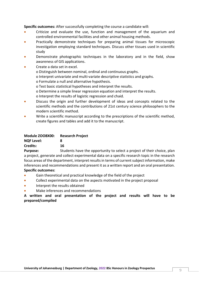**Specific outcomes:** After successfully completing the course a candidate will:

- Criticize and evaluate the use, function and management of the aquarium and controlled environmental facilities and other animal housing methods.
- Practically demonstrate techniques for preparing animal tissues for microscopic investigation employing standard techniques. Discuss other tissues used in scientific study
- Demonstrate photographic techniques in the laboratory and in the field, show awareness of GIS applications.
- Create a data set in excel.
	- o Distinguish between nominal, ordinal and continuous graphs.
	- o Interpret univariate and multi-variate descriptive statistics and graphs.
	- o Formulate a null and alternative hypothesis.
	- o Test basic statistical hypotheses and interpret the results.
	- o Determine a simple linear regression equation and interpret the results.
	- o Interpret the results of logistic regression and chaid.
- Discuss the origin and further development of ideas and concepts related to the scientific methods and the contributions of 21st century science philosophers to the modern scientific method.
- Write a scientific manuscript according to the prescriptions of the scientific method, create figures and tables and add it to the manuscript.

| Module ZOO8X00:   | <b>Research Project</b> |
|-------------------|-------------------------|
| <b>NQF Level:</b> | 8                       |
| <b>Credits:</b>   | 16                      |
|                   |                         |

**Purpose:** Students have the opportunity to select a project of their choice, plan a project, generate and collect experimental data on a specific research topic in the research focus areas of the department, interpret results in terms of current subject information, make inferences and recommendations and present it as a written report and an oral presentation. **Specific outcomes:**

- Gain theoretical and practical knowledge of the field of the project
- Collect experimental data on the aspects motivated in the project proposal
- Interpret the results obtained
- Make inferences and recommendations

**A written and oral presentation of the project and results will have to be prepared/compiled**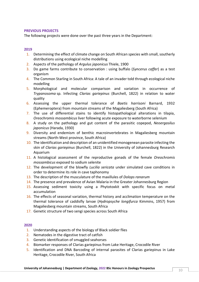## **PREVIOUS PROJECTS**

The following projects were done over the past three years in the Department:

## **2019**

- 1. Determining the effect of climate change on South African species with small, southerly distributions using ecological niche modelling
- 2. Aspects of the pathology of *Argulus japonicus* Thiele, 1900
- 3. Do game farms contribute to conservation : using buffalo (*Syncerus caffer*) as a test organism
- 4. The Common Starling in South Africa: A tale of an invader told through ecological niche modelling
- 5. Morphological and molecular comparison and variation in occurrence of *Trypanosoma* sp. Infecting *Clarias gariepinus* (Burchell, 1822) in relation to water quality
- 6. Assessing the upper thermal tolerance of *Baetis harrisoni* Barnard, 1932 (Ephemeroptera) from mountain streams of the Magaliesberg (South Africa)
- 7. The use of differential stains to identify histopathological alterations in tilapia, *Oreochromis mossambicus* liver following acute exposure to waterborne selenium
- 8. A study on the pathology and gut content of the parasitic copepod, *Neoergasilus japonicus* (Harada, 1930)
- 9. Diversity and endemism of benthic macroinvertebrates in Magaliesberg mountain streams (North-West province, South Africa)
- 10. The identification and description of an unidentified monogenean parasite infecting the skin of *Clarias gariepinus* (Burchell, 1822) in the University of Johannesburg Research Aquarium
- 11. A histological assessment of the reproductive gonads of the female *Oreochromis mossambicus* exposed to sodium selenite
- 12. The development of the blowfly *Lucilia sericata* under simulated cave conditions in order to determine its role in cave taphonomy
- 13. The description of the musculature of the maxillules of *Dolops ranarum*
- 14. The presence and prevalence of Avian Malaria in the Greater Johannesburg Region
- 15. Assessing sediment toxicity using a Phytotoxkit with specific focus on metal accumulation
- 16. The effects of seasonal variation, thermal history and acclimation temperature on the thermal tolerance of caddisfly larvae (*Hydropsyche longifurca* Kimmins, 1957) from Magaliesberg mountain streams, South Africa
- 17. Genetic structure of two sengi species across South Africa

#### **2020**

- 1. Understanding aspects of the biology of Black soldier flies
- 2. Nematodes in the digestive tract of catfish
- 3. Genetic identification of smuggled seahorses
- 4. Biomarker responses of Clarias gariepinus from Lake Heritage, Crocodile River
- 5. Identification and DNA Barcoding of internal parasites of Clarias gariepinus in Lake Heritage, Crocodile River, South Africa